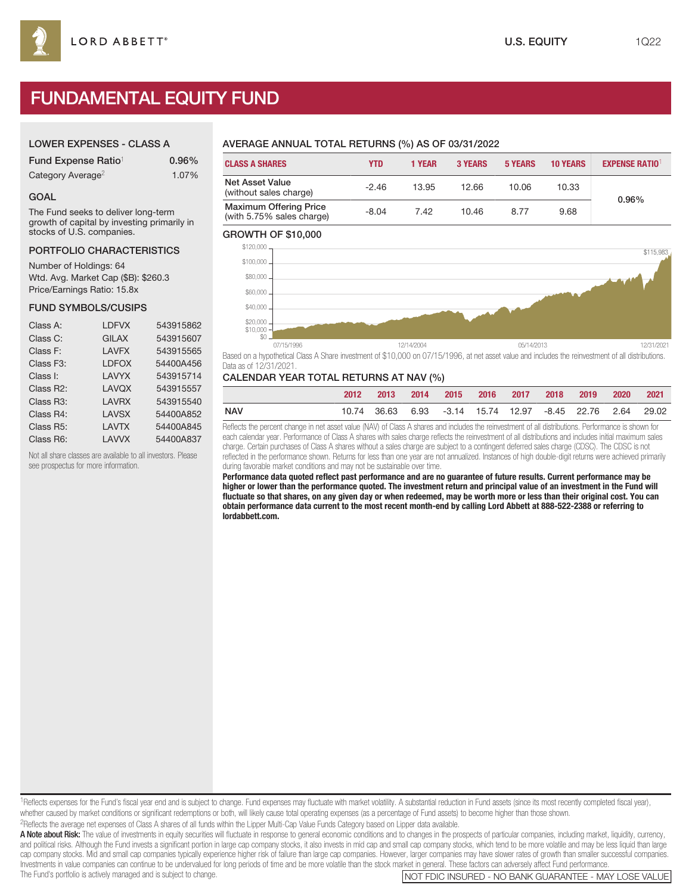# FUNDAMENTAL EQUITY FUND

# LOWER EXPENSES - CLASS A

| Fund Expense Ratio <sup>1</sup> | $0.96\%$ |
|---------------------------------|----------|
| Category Average <sup>2</sup>   | 1.07%    |

## GOAL

The Fund seeks to deliver long-term growth of capital by investing primarily in stocks of U.S. companies.

## PORTFOLIO CHARACTERISTICS

Number of Holdings: 64 Wtd. Avg. Market Cap (\$B): \$260.3 Price/Earnings Ratio: 15.8x

## FUND SYMBOLS/CUSIPS

| <b>LDFVX</b> | 543915862 |
|--------------|-----------|
| <b>GILAX</b> | 543915607 |
| <b>LAVFX</b> | 543915565 |
| <b>LDFOX</b> | 54400A456 |
| LAVYX        | 543915714 |
| <b>LAVQX</b> | 543915557 |
| LAVRX        | 543915540 |
| <b>LAVSX</b> | 54400A852 |
| <b>LAVTX</b> | 54400A845 |
| LAVVX        | 54400A837 |
|              |           |

Not all share classes are available to all investors. Please see prospectus for more information.

# AVERAGE ANNUAL TOTAL RETURNS (%) AS OF 03/31/2022

| <b>CLASS A SHARES</b>                                      | <b>YTD</b> | 1 YEAR | <b>3 YEARS</b> | <b>5 YEARS</b> | <b>10 YEARS</b> | <b>EXPENSE RATIO1</b> |
|------------------------------------------------------------|------------|--------|----------------|----------------|-----------------|-----------------------|
| <b>Net Asset Value</b><br>(without sales charge)           | $-2.46$    | 13.95  | 12.66          | 10.06          | 10.33           | 0.96%                 |
| <b>Maximum Offering Price</b><br>(with 5.75% sales charge) | $-8.04$    | 7.42   | 10.46          | 8.77           | 9.68            |                       |

## GROWTH OF \$10,000



Based on a hypothetical Class A Share investment of \$10,000 on 07/15/1996, at net asset value and includes the reinvestment of all distributions. Data as of 12/31/2021.

# CALENDAR YEAR TOTAL RETURNS AT NAV (%)

|            | 2012 | $\sim$ 2013 | 2014 |  |  | 2015 2016 2017 2018 2019                                  | 2020 2021 |  |
|------------|------|-------------|------|--|--|-----------------------------------------------------------|-----------|--|
| <b>NAV</b> |      |             |      |  |  | 10.74 36.63 6.93 -3.14 15.74 12.97 -8.45 22.76 2.64 29.02 |           |  |

Reflects the percent change in net asset value (NAV) of Class A shares and includes the reinvestment of all distributions. Performance is shown for each calendar year. Performance of Class A shares with sales charge reflects the reinvestment of all distributions and includes initial maximum sales charge. Certain purchases of Class A shares without a sales charge are subject to a contingent deferred sales charge (CDSC). The CDSC is not reflected in the performance shown. Returns for less than one year are not annualized. Instances of high double-digit returns were achieved primarily during favorable market conditions and may not be sustainable over time.

**Performance data quoted reflect past performance and are no guarantee of future results. Current performance may be higher or lower than the performance quoted. The investment return and principal value of an investment in the Fund will fluctuate so that shares, on any given day or when redeemed, may be worth more or less than their original cost. You can obtain performance data current to the most recent month-end by calling Lord Abbett at 888-522-2388 or referring to lordabbett.com.**

<sup>1</sup>Reflects expenses for the Fund's fiscal year end and is subject to change. Fund expenses may fluctuate with market volatility. A substantial reduction in Fund assets (since its most recently completed fiscal year), whether caused by market conditions or significant redemptions or both, will likely cause total operating expenses (as a percentage of Fund assets) to become higher than those shown. 2Reflects the average net expenses of Class A shares of all funds within the Lipper Multi-Cap Value Funds Category based on Lipper data available.

A Note about Risk: The value of investments in equity securities will fluctuate in response to general economic conditions and to changes in the prospects of particular companies, including market, liquidity, currency, and political risks. Although the Fund invests a significant portion in large cap company stocks, it also invests in mid cap and small cap company stocks, which tend to be more volatile and may be less liquid than large cap company stocks. Mid and small cap companies typically experience higher risk of failure than large cap companies. However, larger companies may have slower rates of growth than smaller successful companies. Investments in value companies can continue to be undervalued for long periods of time and be more volatile than the stock market in general. These factors can adversely affect Fund performance.